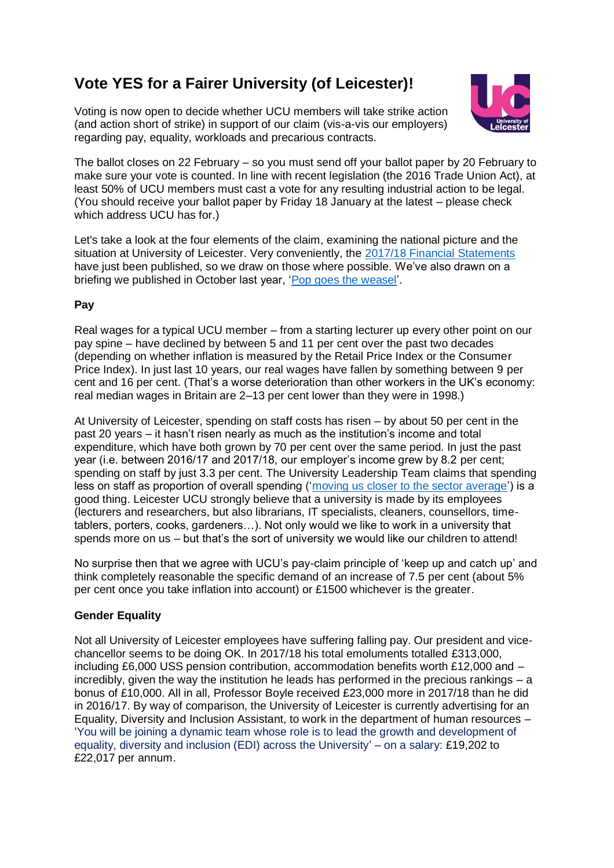# **Vote YES for a Fairer University (of Leicester)!**

Voting is now open to decide whether UCU members will take strike action (and action short of strike) in support of our claim (vis-a-vis our employers) regarding pay, equality, workloads and precarious contracts.



The ballot closes on 22 February – so you must send off your ballot paper by 20 February to make sure your vote is counted. In line with recent legislation (the 2016 Trade Union Act), at least 50% of UCU members must cast a vote for any resulting industrial action to be legal. (You should receive your ballot paper by Friday 18 January at the latest – please check which address UCU has for.)

Let's take a look at the four elements of the claim, examining the national picture and the situation at University of Leicester. Very conveniently, the [2017/18 Financial Statements](https://le.ac.uk/~/media/uol/docs/publications/financial-statements/financial-statements-1718.pdf?la=en) have just been published, so we draw on those where possible. We've also drawn on a briefing we published in October last year, ['Pop goes the weasel'.](http://www.uculeicester.org.uk/ucu/pop-goes-the-weasel-thats-the-way-the-money-goes/)

## **Pay**

Real wages for a typical UCU member – from a starting lecturer up every other point on our pay spine – have declined by between 5 and 11 per cent over the past two decades (depending on whether inflation is measured by the Retail Price Index or the Consumer Price Index). In just last 10 years, our real wages have fallen by something between 9 per cent and 16 per cent. (That's a worse deterioration than other workers in the UK's economy: real median wages in Britain are 2–13 per cent lower than they were in 1998.)

At University of Leicester, spending on staff costs has risen – by about 50 per cent in the past 20 years – it hasn't risen nearly as much as the institution's income and total expenditure, which have both grown by 70 per cent over the same period. In just the past year (i.e. between 2016/17 and 2017/18, our employer's income grew by 8.2 per cent; spending on staff by just 3.3 per cent. The University Leadership Team claims that spending less on staff as proportion of overall spending (['moving us closer to the sector average'\)](http://www.uculeicester.org.uk/ucu/wp-content/uploads/2018/02/LUCU-full-alternative-financial-analysis-Sept-2016.pdf) is a good thing. Leicester UCU strongly believe that a university is made by its employees (lecturers and researchers, but also librarians, IT specialists, cleaners, counsellors, timetablers, porters, cooks, gardeners…). Not only would we like to work in a university that spends more on us – but that's the sort of university we would like our children to attend!

No surprise then that we agree with UCU's pay-claim principle of 'keep up and catch up' and think completely reasonable the specific demand of an increase of 7.5 per cent (about 5% per cent once you take inflation into account) or £1500 whichever is the greater.

## **Gender Equality**

Not all University of Leicester employees have suffering falling pay. Our president and vicechancellor seems to be doing OK. In 2017/18 his total emoluments totalled £313,000, including £6,000 USS pension contribution, accommodation benefits worth £12,000 and – incredibly, given the way the institution he leads has performed in the precious rankings – a bonus of £10,000. All in all, Professor Boyle received £23,000 more in 2017/18 than he did in 2016/17. By way of comparison, the University of Leicester is currently advertising for an Equality, Diversity and Inclusion Assistant, to work in the department of human resources – 'You will be joining a dynamic team whose role is to lead the growth and development of equality, diversity and inclusion (EDI) across the University' – on a salary: £19,202 to £22,017 per annum.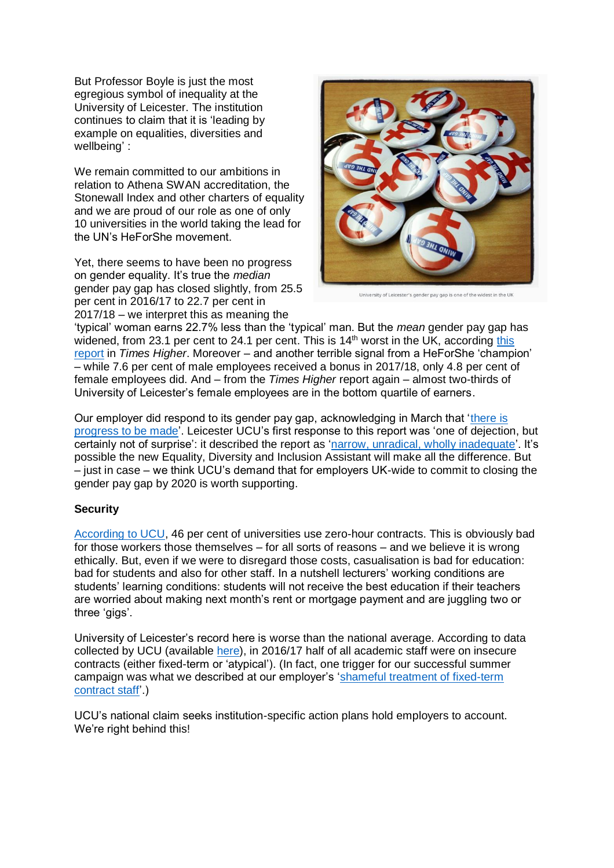But Professor Boyle is just the most egregious symbol of inequality at the University of Leicester. The institution continues to claim that it is 'leading by example on equalities, diversities and wellbeing' :

We remain committed to our ambitions in relation to Athena SWAN accreditation, the Stonewall Index and other charters of equality and we are proud of our role as one of only 10 universities in the world taking the lead for the UN's HeForShe movement.

Yet, there seems to have been no progress on gender equality. It's true the *median* gender pay gap has closed slightly, from 25.5 per cent in 2016/17 to 22.7 per cent in 2017/18 – we interpret this as meaning the



University of Leicester's gender pay gap is one of the widest in the UK

'typical' woman earns 22.7% less than the 'typical' man. But the *mean* gender pay gap has widened, from 23.1 per cent to 24.1 per cent. This is 14<sup>th</sup> worst in the UK, according this [report](https://www.timeshighereducation.com/news/gender-pay-gap-how-much-less-are-women-paid-your-university) in *Times Higher*. Moreover – and another terrible signal from a HeForShe 'champion' – while 7.6 per cent of male employees received a bonus in 2017/18, only 4.8 per cent of female employees did. And – from the *Times Higher* report again – almost two-thirds of University of Leicester's female employees are in the bottom quartile of earners.

Our employer did respond to its gender pay gap, acknowledging in March that ['there is](https://www2.le.ac.uk/offices/equalities-unit/publication-of-equality-information-1/gender-pay-gap-report-2017)  [progress to be made'](https://www2.le.ac.uk/offices/equalities-unit/publication-of-equality-information-1/gender-pay-gap-report-2017). Leicester UCU's first response to this report was 'one of dejection, but certainly not of surprise': it described the report as ['narrow, unradical, wholly inadequate'.](https://www.uculeicester.org.uk/ucu/narrow-unradical-wholly-inadequate-the-gender-pay-gap-report/) It's possible the new Equality, Diversity and Inclusion Assistant will make all the difference. But – just in case – we think UCU's demand that for employers UK-wide to commit to closing the gender pay gap by 2020 is worth supporting.

### **Security**

[According to UCU,](https://www.ucu.org.uk/stampout) 46 per cent of universities use zero-hour contracts. This is obviously bad for those workers those themselves – for all sorts of reasons – and we believe it is wrong ethically. But, even if we were to disregard those costs, casualisation is bad for education: bad for students and also for other staff. In a nutshell lecturers' working conditions are students' learning conditions: students will not receive the best education if their teachers are worried about making next month's rent or mortgage payment and are juggling two or three 'gigs'.

University of Leicester's record here is worse than the national average. According to data collected by UCU (available [here\)](https://www.ucu.org.uk/article/8154/Precarious-contracts-in-HE---institution-snapshot), in 2016/17 half of all academic staff were on insecure contracts (either fixed-term or 'atypical'). (In fact, one trigger for our successful summer campaign was what we described at our employer's ['shameful treatment of fixed-term](shameful%20treatment%20of%20fixed-term%20contract%20staff)  [contract staff'](shameful%20treatment%20of%20fixed-term%20contract%20staff).)

UCU's national claim seeks institution-specific action plans hold employers to account. We're right behind this!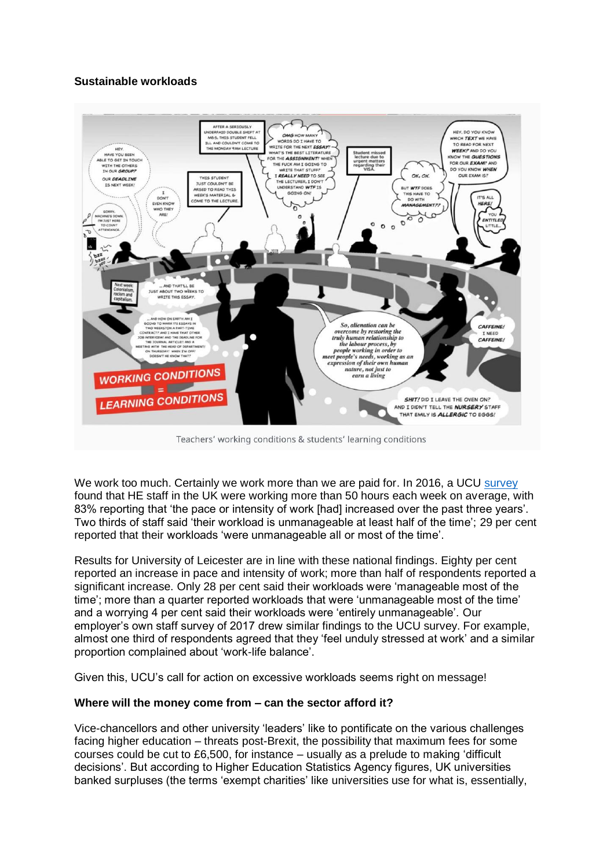### **Sustainable workloads**



Teachers' working conditions & students' learning conditions

We work too much. Certainly we work more than we are paid for. In 2016, a UCU [survey](https://www.ucu.org.uk/media/8196/Executive-summary---Workload-is-an-education-issue-UCU-workload-survey-report-2016/pdf/ucu_workloadsurvey_summary_jun16.pdf) found that HE staff in the UK were working more than 50 hours each week on average, with 83% reporting that 'the pace or intensity of work [had] increased over the past three years'. Two thirds of staff said 'their workload is unmanageable at least half of the time'; 29 per cent reported that their workloads 'were unmanageable all or most of the time'.

Results for University of Leicester are in line with these national findings. Eighty per cent reported an increase in pace and intensity of work; more than half of respondents reported a significant increase. Only 28 per cent said their workloads were 'manageable most of the time'; more than a quarter reported workloads that were 'unmanageable most of the time' and a worrying 4 per cent said their workloads were 'entirely unmanageable'. Our employer's own staff survey of 2017 drew similar findings to the UCU survey. For example, almost one third of respondents agreed that they 'feel unduly stressed at work' and a similar proportion complained about 'work-life balance'.

Given this, UCU's call for action on excessive workloads seems right on message!

### **Where will the money come from – can the sector afford it?**

Vice-chancellors and other university 'leaders' like to pontificate on the various challenges facing higher education – threats post-Brexit, the possibility that maximum fees for some courses could be cut to £6,500, for instance – usually as a prelude to making 'difficult decisions'. But according to Higher Education Statistics Agency figures, UK universities banked surpluses (the terms 'exempt charities' like universities use for what is, essentially,